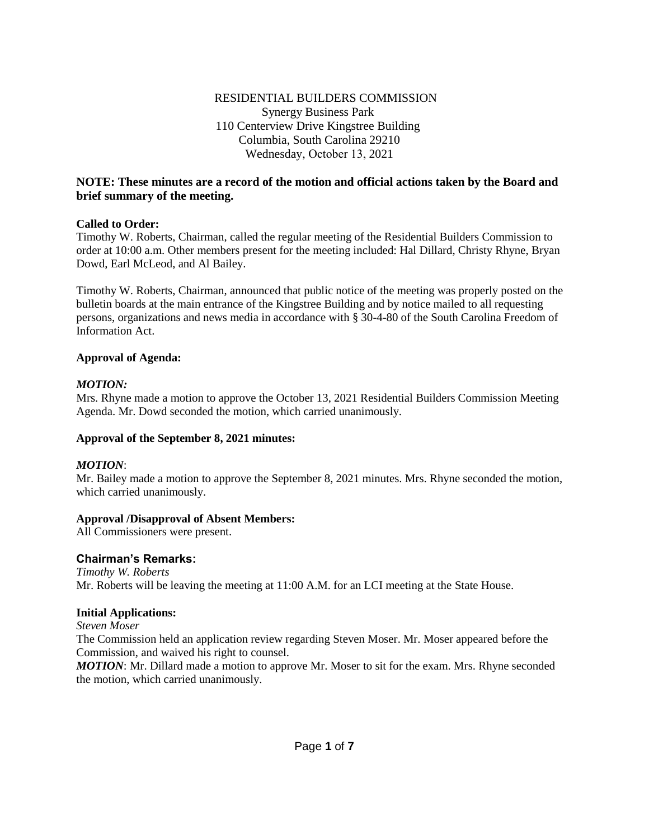## RESIDENTIAL BUILDERS COMMISSION Synergy Business Park 110 Centerview Drive Kingstree Building Columbia, South Carolina 29210 Wednesday, October 13, 2021

# **NOTE: These minutes are a record of the motion and official actions taken by the Board and brief summary of the meeting.**

## **Called to Order:**

Timothy W. Roberts, Chairman, called the regular meeting of the Residential Builders Commission to order at 10:00 a.m. Other members present for the meeting included: Hal Dillard, Christy Rhyne, Bryan Dowd, Earl McLeod, and Al Bailey.

Timothy W. Roberts, Chairman, announced that public notice of the meeting was properly posted on the bulletin boards at the main entrance of the Kingstree Building and by notice mailed to all requesting persons, organizations and news media in accordance with § 30-4-80 of the South Carolina Freedom of Information Act.

## **Approval of Agenda:**

## *MOTION:*

Mrs. Rhyne made a motion to approve the October 13, 2021 Residential Builders Commission Meeting Agenda. Mr. Dowd seconded the motion, which carried unanimously.

## **Approval of the September 8, 2021 minutes:**

#### *MOTION*:

Mr. Bailey made a motion to approve the September 8, 2021 minutes. Mrs. Rhyne seconded the motion, which carried unanimously.

## **Approval /Disapproval of Absent Members:**

All Commissioners were present.

## **Chairman's Remarks:**

*Timothy W. Roberts*  Mr. Roberts will be leaving the meeting at 11:00 A.M. for an LCI meeting at the State House.

## **Initial Applications:**

*Steven Moser*

The Commission held an application review regarding Steven Moser. Mr. Moser appeared before the Commission, and waived his right to counsel.

*MOTION*: Mr. Dillard made a motion to approve Mr. Moser to sit for the exam. Mrs. Rhyne seconded the motion, which carried unanimously.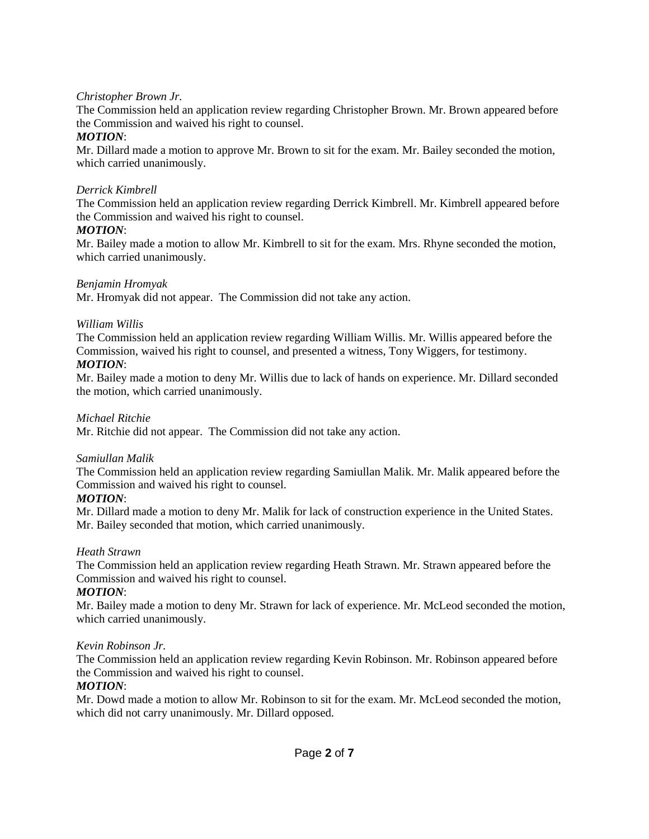# *Christopher Brown Jr.*

The Commission held an application review regarding Christopher Brown. Mr. Brown appeared before the Commission and waived his right to counsel.

# *MOTION*:

Mr. Dillard made a motion to approve Mr. Brown to sit for the exam. Mr. Bailey seconded the motion, which carried unanimously.

# *Derrick Kimbrell*

The Commission held an application review regarding Derrick Kimbrell. Mr. Kimbrell appeared before the Commission and waived his right to counsel.

# *MOTION*:

Mr. Bailey made a motion to allow Mr. Kimbrell to sit for the exam. Mrs. Rhyne seconded the motion, which carried unanimously.

# *Benjamin Hromyak*

Mr. Hromyak did not appear. The Commission did not take any action.

# *William Willis*

The Commission held an application review regarding William Willis. Mr. Willis appeared before the Commission, waived his right to counsel, and presented a witness, Tony Wiggers, for testimony. *MOTION*:

Mr. Bailey made a motion to deny Mr. Willis due to lack of hands on experience. Mr. Dillard seconded the motion, which carried unanimously.

# *Michael Ritchie*

Mr. Ritchie did not appear. The Commission did not take any action.

# *Samiullan Malik*

The Commission held an application review regarding Samiullan Malik. Mr. Malik appeared before the Commission and waived his right to counsel.

# *MOTION*:

Mr. Dillard made a motion to deny Mr. Malik for lack of construction experience in the United States. Mr. Bailey seconded that motion, which carried unanimously.

# *Heath Strawn*

The Commission held an application review regarding Heath Strawn. Mr. Strawn appeared before the Commission and waived his right to counsel.

# *MOTION*:

Mr. Bailey made a motion to deny Mr. Strawn for lack of experience. Mr. McLeod seconded the motion, which carried unanimously.

# *Kevin Robinson Jr.*

The Commission held an application review regarding Kevin Robinson. Mr. Robinson appeared before the Commission and waived his right to counsel.

## *MOTION*:

Mr. Dowd made a motion to allow Mr. Robinson to sit for the exam. Mr. McLeod seconded the motion, which did not carry unanimously. Mr. Dillard opposed.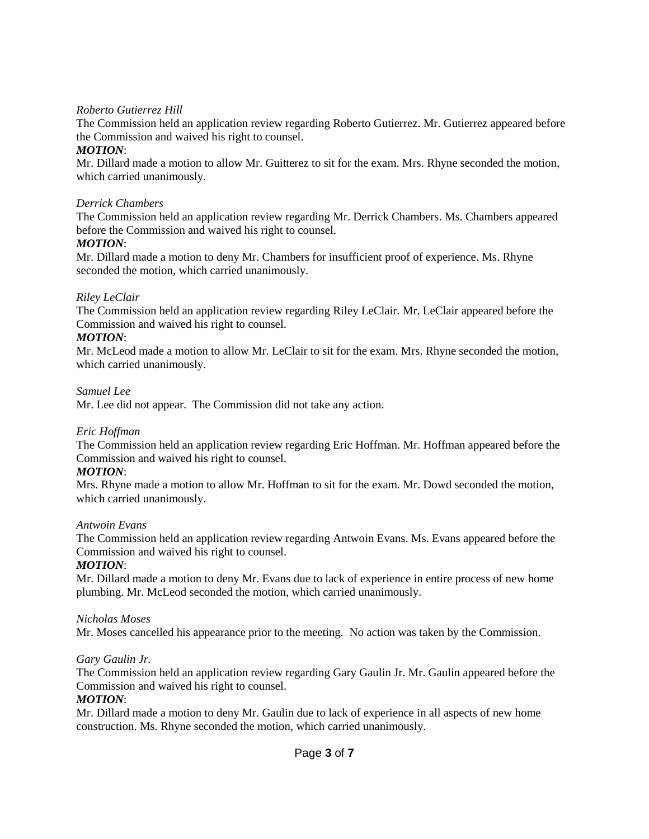## *Roberto Gutierrez Hill*

The Commission held an application review regarding Roberto Gutierrez. Mr. Gutierrez appeared before the Commission and waived his right to counsel.

## *MOTION*:

Mr. Dillard made a motion to allow Mr. Guitterez to sit for the exam. Mrs. Rhyne seconded the motion, which carried unanimously.

## *Derrick Chambers*

The Commission held an application review regarding Mr. Derrick Chambers. Ms. Chambers appeared before the Commission and waived his right to counsel.

# *MOTION*:

Mr. Dillard made a motion to deny Mr. Chambers for insufficient proof of experience. Ms. Rhyne seconded the motion, which carried unanimously.

# *Riley LeClair*

The Commission held an application review regarding Riley LeClair. Mr. LeClair appeared before the Commission and waived his right to counsel.

# *MOTION*:

Mr. McLeod made a motion to allow Mr. LeClair to sit for the exam. Mrs. Rhyne seconded the motion, which carried unanimously.

# *Samuel Lee*

Mr. Lee did not appear. The Commission did not take any action.

## *Eric Hoffman*

The Commission held an application review regarding Eric Hoffman. Mr. Hoffman appeared before the Commission and waived his right to counsel.

## *MOTION*:

Mrs. Rhyne made a motion to allow Mr. Hoffman to sit for the exam. Mr. Dowd seconded the motion, which carried unanimously.

# *Antwoin Evans*

The Commission held an application review regarding Antwoin Evans. Ms. Evans appeared before the Commission and waived his right to counsel.

# *MOTION*:

Mr. Dillard made a motion to deny Mr. Evans due to lack of experience in entire process of new home plumbing. Mr. McLeod seconded the motion, which carried unanimously.

## *Nicholas Moses*

Mr. Moses cancelled his appearance prior to the meeting. No action was taken by the Commission.

## *Gary Gaulin Jr.*

The Commission held an application review regarding Gary Gaulin Jr. Mr. Gaulin appeared before the Commission and waived his right to counsel.

## *MOTION*:

Mr. Dillard made a motion to deny Mr. Gaulin due to lack of experience in all aspects of new home construction. Ms. Rhyne seconded the motion, which carried unanimously.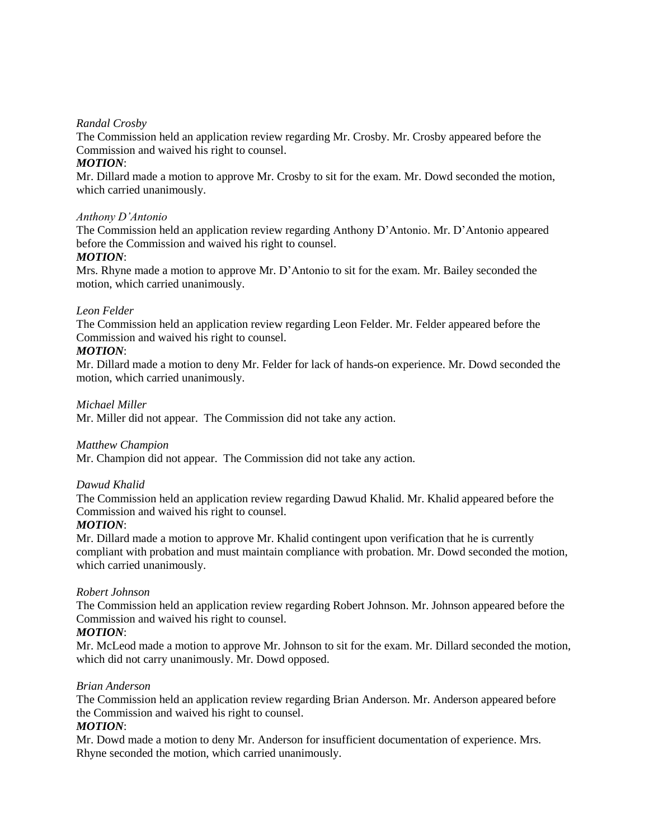#### *Randal Crosby*

The Commission held an application review regarding Mr. Crosby. Mr. Crosby appeared before the Commission and waived his right to counsel.

#### *MOTION*:

Mr. Dillard made a motion to approve Mr. Crosby to sit for the exam. Mr. Dowd seconded the motion, which carried unanimously.

#### *Anthony D'Antonio*

The Commission held an application review regarding Anthony D'Antonio. Mr. D'Antonio appeared before the Commission and waived his right to counsel.

#### *MOTION*:

Mrs. Rhyne made a motion to approve Mr. D'Antonio to sit for the exam. Mr. Bailey seconded the motion, which carried unanimously.

#### *Leon Felder*

The Commission held an application review regarding Leon Felder. Mr. Felder appeared before the Commission and waived his right to counsel.

#### *MOTION*:

Mr. Dillard made a motion to deny Mr. Felder for lack of hands-on experience. Mr. Dowd seconded the motion, which carried unanimously.

#### *Michael Miller*

Mr. Miller did not appear. The Commission did not take any action.

#### *Matthew Champion*

Mr. Champion did not appear. The Commission did not take any action.

#### *Dawud Khalid*

The Commission held an application review regarding Dawud Khalid. Mr. Khalid appeared before the Commission and waived his right to counsel.

#### *MOTION*:

Mr. Dillard made a motion to approve Mr. Khalid contingent upon verification that he is currently compliant with probation and must maintain compliance with probation. Mr. Dowd seconded the motion, which carried unanimously.

#### *Robert Johnson*

The Commission held an application review regarding Robert Johnson. Mr. Johnson appeared before the Commission and waived his right to counsel.

#### *MOTION*:

Mr. McLeod made a motion to approve Mr. Johnson to sit for the exam. Mr. Dillard seconded the motion, which did not carry unanimously. Mr. Dowd opposed.

#### *Brian Anderson*

The Commission held an application review regarding Brian Anderson. Mr. Anderson appeared before the Commission and waived his right to counsel.

## *MOTION*:

Mr. Dowd made a motion to deny Mr. Anderson for insufficient documentation of experience. Mrs. Rhyne seconded the motion, which carried unanimously.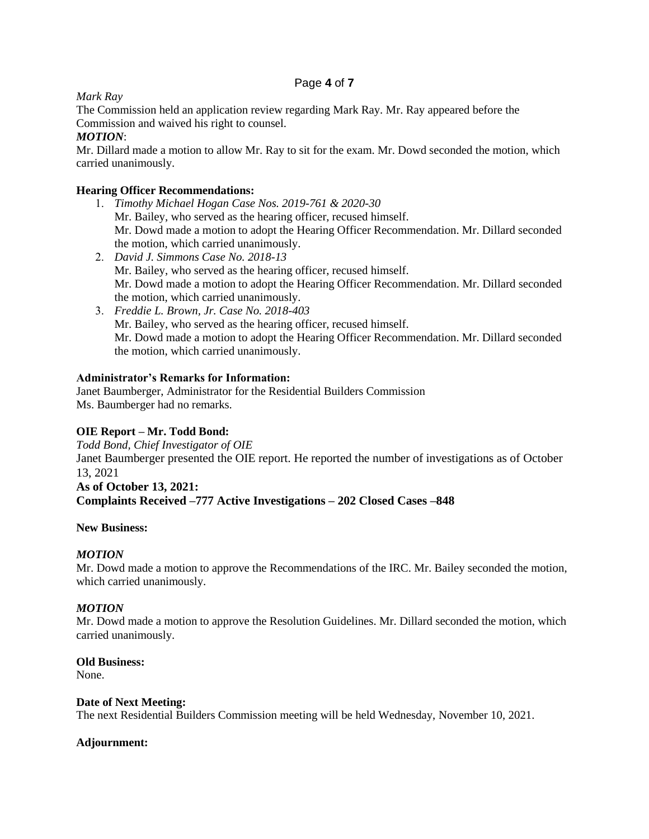## Page **4** of **7**

*Mark Ray*

The Commission held an application review regarding Mark Ray. Mr. Ray appeared before the Commission and waived his right to counsel.

#### *MOTION*:

Mr. Dillard made a motion to allow Mr. Ray to sit for the exam. Mr. Dowd seconded the motion, which carried unanimously.

#### **Hearing Officer Recommendations:**

- 1. *Timothy Michael Hogan Case Nos. 2019-761 & 2020-30* Mr. Bailey, who served as the hearing officer, recused himself. Mr. Dowd made a motion to adopt the Hearing Officer Recommendation. Mr. Dillard seconded the motion, which carried unanimously.
- 2. *David J. Simmons Case No. 2018-13* Mr. Bailey, who served as the hearing officer, recused himself. Mr. Dowd made a motion to adopt the Hearing Officer Recommendation. Mr. Dillard seconded the motion, which carried unanimously.
- 3. *Freddie L. Brown, Jr. Case No. 2018-403* Mr. Bailey, who served as the hearing officer, recused himself. Mr. Dowd made a motion to adopt the Hearing Officer Recommendation. Mr. Dillard seconded the motion, which carried unanimously.

#### **Administrator's Remarks for Information:**

Janet Baumberger, Administrator for the Residential Builders Commission Ms. Baumberger had no remarks.

## **OIE Report – Mr. Todd Bond:**

*Todd Bond, Chief Investigator of OIE*  Janet Baumberger presented the OIE report. He reported the number of investigations as of October 13, 2021 **As of October 13, 2021: Complaints Received –777 Active Investigations – 202 Closed Cases –848**

#### **New Business:**

#### *MOTION*

Mr. Dowd made a motion to approve the Recommendations of the IRC. Mr. Bailey seconded the motion, which carried unanimously.

#### *MOTION*

Mr. Dowd made a motion to approve the Resolution Guidelines. Mr. Dillard seconded the motion, which carried unanimously.

#### **Old Business:**

None.

#### **Date of Next Meeting:**

The next Residential Builders Commission meeting will be held Wednesday, November 10, 2021.

#### **Adjournment:**